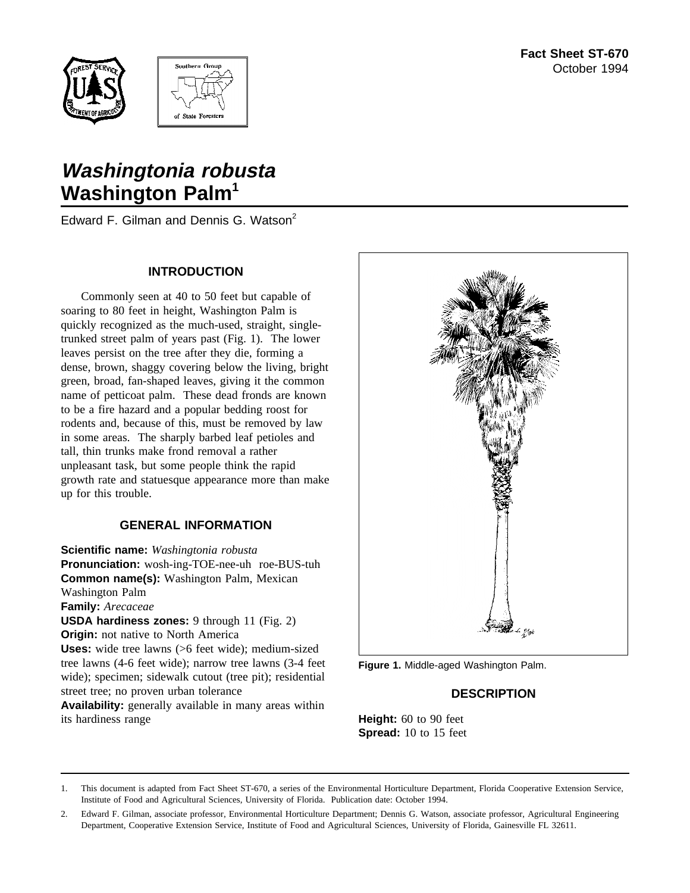



# **Washingtonia robusta Washington Palm<sup>1</sup>**

Edward F. Gilman and Dennis G. Watson<sup>2</sup>

## **INTRODUCTION**

Commonly seen at 40 to 50 feet but capable of soaring to 80 feet in height, Washington Palm is quickly recognized as the much-used, straight, singletrunked street palm of years past (Fig. 1). The lower leaves persist on the tree after they die, forming a dense, brown, shaggy covering below the living, bright green, broad, fan-shaped leaves, giving it the common name of petticoat palm. These dead fronds are known to be a fire hazard and a popular bedding roost for rodents and, because of this, must be removed by law in some areas. The sharply barbed leaf petioles and tall, thin trunks make frond removal a rather unpleasant task, but some people think the rapid growth rate and statuesque appearance more than make up for this trouble.

## **GENERAL INFORMATION**

**Scientific name:** *Washingtonia robusta* **Pronunciation:** wosh-ing-TOE-nee-uh roe-BUS-tuh **Common name(s):** Washington Palm, Mexican Washington Palm **Family:** *Arecaceae* **USDA hardiness zones:** 9 through 11 (Fig. 2) **Origin:** not native to North America **Uses:** wide tree lawns (>6 feet wide); medium-sized tree lawns (4-6 feet wide); narrow tree lawns (3-4 feet wide); specimen; sidewalk cutout (tree pit); residential street tree; no proven urban tolerance

**Availability:** generally available in many areas within its hardiness range



**Figure 1.** Middle-aged Washington Palm.

## **DESCRIPTION**

**Height:** 60 to 90 feet **Spread:** 10 to 15 feet

<sup>1.</sup> This document is adapted from Fact Sheet ST-670, a series of the Environmental Horticulture Department, Florida Cooperative Extension Service, Institute of Food and Agricultural Sciences, University of Florida. Publication date: October 1994.

<sup>2.</sup> Edward F. Gilman, associate professor, Environmental Horticulture Department; Dennis G. Watson, associate professor, Agricultural Engineering Department, Cooperative Extension Service, Institute of Food and Agricultural Sciences, University of Florida, Gainesville FL 32611.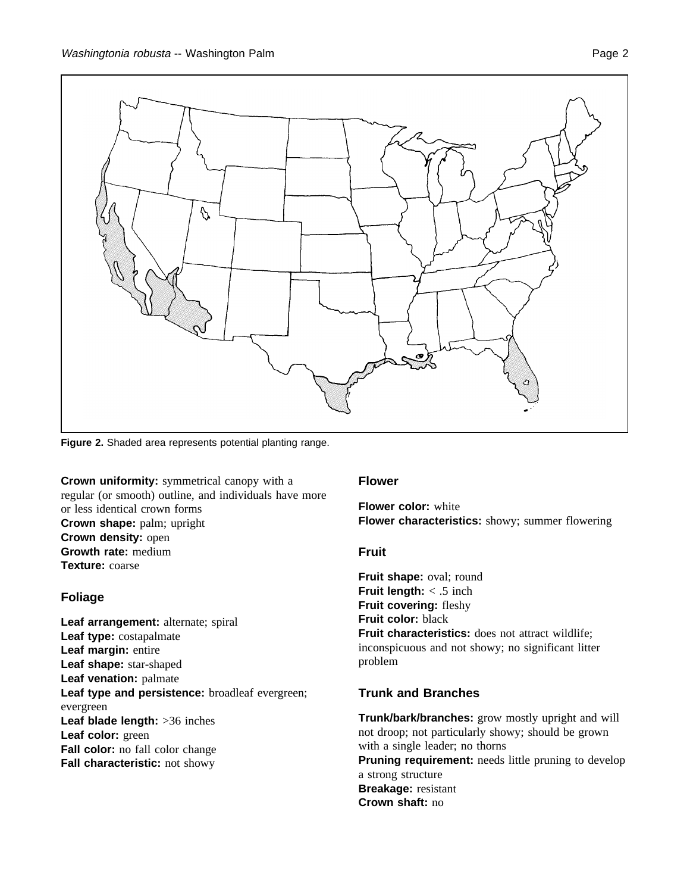

**Figure 2.** Shaded area represents potential planting range.

**Crown uniformity:** symmetrical canopy with a regular (or smooth) outline, and individuals have more or less identical crown forms **Crown shape:** palm; upright **Crown density:** open **Growth rate:** medium **Texture:** coarse

### **Foliage**

Leaf arrangement: alternate; spiral **Leaf type:** costapalmate **Leaf margin:** entire **Leaf shape:** star-shaped **Leaf venation:** palmate **Leaf type and persistence:** broadleaf evergreen; evergreen **Leaf blade length:** >36 inches **Leaf color:** green **Fall color:** no fall color change **Fall characteristic:** not showy

#### **Flower**

**Flower color:** white **Flower characteristics:** showy; summer flowering

### **Fruit**

**Fruit shape:** oval; round **Fruit length:** < .5 inch **Fruit covering:** fleshy **Fruit color:** black **Fruit characteristics:** does not attract wildlife; inconspicuous and not showy; no significant litter problem

### **Trunk and Branches**

**Trunk/bark/branches:** grow mostly upright and will not droop; not particularly showy; should be grown with a single leader; no thorns **Pruning requirement:** needs little pruning to develop a strong structure **Breakage:** resistant **Crown shaft:** no